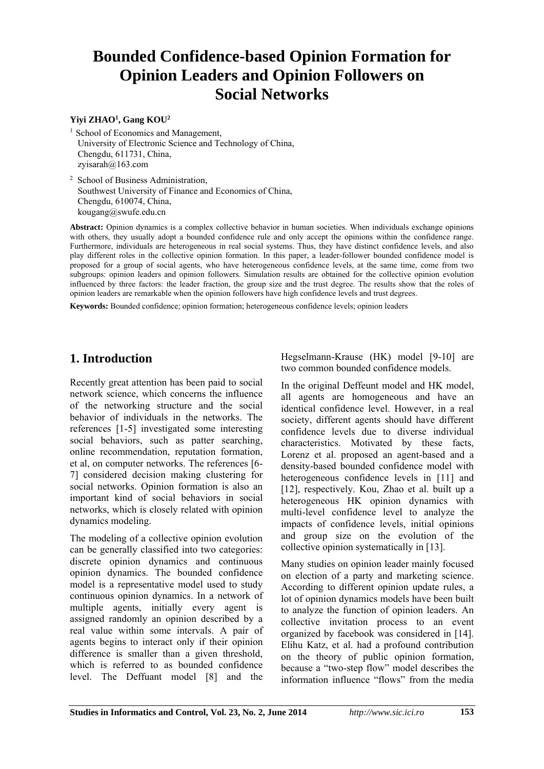# **Bounded Confidence-based Opinion Formation for Opinion Leaders and Opinion Followers on Social Networks**

#### **Yiyi ZHAO<sup>1</sup> , Gang KOU<sup>2</sup>**

<sup>1</sup> School of Economics and Management, University of Electronic Science and Technology of China, Chengdu, 611731, China, zyisarah@163.com

<sup>2</sup> School of Business Administration, Southwest University of Finance and Economics of China, Chengdu, 610074, China, kougang@swufe.edu.cn

**Abstract:** Opinion dynamics is a complex collective behavior in human societies. When individuals exchange opinions with others, they usually adopt a bounded confidence rule and only accept the opinions within the confidence range. Furthermore, individuals are heterogeneous in real social systems. Thus, they have distinct confidence levels, and also play different roles in the collective opinion formation. In this paper, a leader-follower bounded confidence model is proposed for a group of social agents, who have heterogeneous confidence levels, at the same time, come from two subgroups: opinion leaders and opinion followers. Simulation results are obtained for the collective opinion evolution influenced by three factors: the leader fraction, the group size and the trust degree. The results show that the roles of opinion leaders are remarkable when the opinion followers have high confidence levels and trust degrees.

**Keywords:** Bounded confidence; opinion formation; heterogeneous confidence levels; opinion leaders

# **1. Introduction**

Recently great attention has been paid to social network science, which concerns the influence of the networking structure and the social behavior of individuals in the networks. The references [1-5] investigated some interesting social behaviors, such as patter searching, online recommendation, reputation formation, et al, on computer networks. The references [6- 7] considered decision making clustering for social networks. Opinion formation is also an important kind of social behaviors in social networks, which is closely related with opinion dynamics modeling.

The modeling of a collective opinion evolution can be generally classified into two categories: discrete opinion dynamics and continuous opinion dynamics. The bounded confidence model is a representative model used to study continuous opinion dynamics. In a network of multiple agents, initially every agent is assigned randomly an opinion described by a real value within some intervals. A pair of agents begins to interact only if their opinion difference is smaller than a given threshold, which is referred to as bounded confidence level. The Deffuant model [8] and the

Hegselmann-Krause (HK) model [9-10] are two common bounded confidence models.

In the original Deffeunt model and HK model, all agents are homogeneous and have an identical confidence level. However, in a real society, different agents should have different confidence levels due to diverse individual characteristics. Motivated by these facts, Lorenz et al. proposed an agent-based and a density-based bounded confidence model with heterogeneous confidence levels in [11] and [12], respectively. Kou, Zhao et al. built up a heterogeneous HK opinion dynamics with multi-level confidence level to analyze the impacts of confidence levels, initial opinions and group size on the evolution of the collective opinion systematically in [13].

Many studies on opinion leader mainly focused on election of a party and marketing science. According to different opinion update rules, a lot of opinion dynamics models have been built to analyze the function of opinion leaders. An collective invitation process to an event organized by facebook was considered in [14]. Elihu Katz, et al. had a profound contribution on the theory of public opinion formation, because a "two-step flow" model describes the information influence "flows" from the media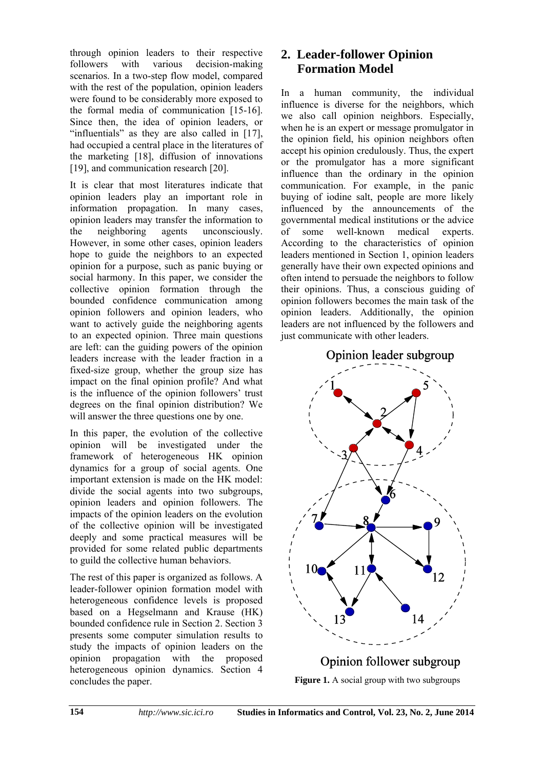through opinion leaders to their respective followers with various decision-making scenarios. In a two-step flow model, compared with the rest of the population, opinion leaders were found to be considerably more exposed to the formal media of communication [15-16]. Since then, the idea of opinion leaders, or "influentials" as they are also called in [17], had occupied a central place in the literatures of the marketing [18], diffusion of innovations [19], and communication research [20].

It is clear that most literatures indicate that opinion leaders play an important role in information propagation. In many cases, opinion leaders may transfer the information to the neighboring agents unconsciously. However, in some other cases, opinion leaders hope to guide the neighbors to an expected opinion for a purpose, such as panic buying or social harmony. In this paper, we consider the collective opinion formation through the bounded confidence communication among opinion followers and opinion leaders, who want to actively guide the neighboring agents to an expected opinion. Three main questions are left: can the guiding powers of the opinion leaders increase with the leader fraction in a fixed-size group, whether the group size has impact on the final opinion profile? And what is the influence of the opinion followers' trust degrees on the final opinion distribution? We will answer the three questions one by one.

In this paper, the evolution of the collective opinion will be investigated under the framework of heterogeneous HK opinion dynamics for a group of social agents. One important extension is made on the HK model: divide the social agents into two subgroups, opinion leaders and opinion followers. The impacts of the opinion leaders on the evolution of the collective opinion will be investigated deeply and some practical measures will be provided for some related public departments to guild the collective human behaviors.

The rest of this paper is organized as follows. A leader-follower opinion formation model with heterogeneous confidence levels is proposed based on a Hegselmann and Krause (HK) bounded confidence rule in Section 2. Section 3 presents some computer simulation results to study the impacts of opinion leaders on the opinion propagation with the proposed heterogeneous opinion dynamics. Section 4 concludes the paper.

# **2. Leader-follower Opinion Formation Model**

In a human community, the individual influence is diverse for the neighbors, which we also call opinion neighbors. Especially, when he is an expert or message promulgator in the opinion field, his opinion neighbors often accept his opinion credulously. Thus, the expert or the promulgator has a more significant influence than the ordinary in the opinion communication. For example, in the panic buying of iodine salt, people are more likely influenced by the announcements of the governmental medical institutions or the advice of some well-known medical experts. According to the characteristics of opinion leaders mentioned in Section 1, opinion leaders generally have their own expected opinions and often intend to persuade the neighbors to follow their opinions. Thus, a conscious guiding of opinion followers becomes the main task of the opinion leaders. Additionally, the opinion leaders are not influenced by the followers and just communicate with other leaders.

## Opinion leader subgroup



# Opinion follower subgroup

**Figure 1.** A social group with two subgroups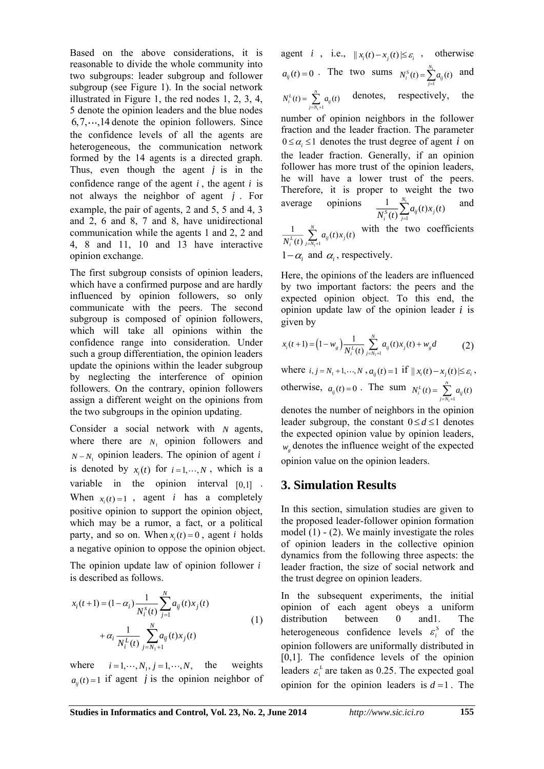Based on the above considerations, it is reasonable to divide the whole community into two subgroups: leader subgroup and follower subgroup (see Figure 1). In the social network illustrated in Figure 1, the red nodes 1, 2, 3, 4, 5 denote the opinion leaders and the blue nodes  $6, 7, \dots, 14$  denote the opinion followers. Since the confidence levels of all the agents are heterogeneous, the communication network formed by the 14 agents is a directed graph. Thus, even though the agent *j* is in the confidence range of the agent  $i$ , the agent  $i$  is not always the neighbor of agent *j* . For example, the pair of agents, 2 and 5, 5 and 4, 3 and 2, 6 and 8, 7 and 8, have unidirectional communication while the agents 1 and 2, 2 and 4, 8 and 11, 10 and 13 have interactive opinion exchange.

The first subgroup consists of opinion leaders, which have a confirmed purpose and are hardly influenced by opinion followers, so only communicate with the peers. The second subgroup is composed of opinion followers, which will take all opinions within the confidence range into consideration. Under such a group differentiation, the opinion leaders update the opinions within the leader subgroup by neglecting the interference of opinion followers. On the contrary, opinion followers assign a different weight on the opinions from the two subgroups in the opinion updating.

Consider a social network with *N* agents, where there are  $N_1$  opinion followers and  $N - N_1$  opinion leaders. The opinion of agent *i* is denoted by  $x_i(t)$  for  $i = 1, \dots, N$ , which is a variable in the opinion interval [0,1]. When  $x_i(t) = 1$ , agent *i* has a completely positive opinion to support the opinion object, which may be a rumor, a fact, or a political party, and so on. When  $x_i(t) = 0$ , agent *i* holds a negative opinion to oppose the opinion object.

The opinion update law of opinion follower *i* is described as follows.

$$
x_i(t+1) = (1 - \alpha_i) \frac{1}{N_i^s(t)} \sum_{j=1}^N a_{ij}(t) x_j(t)
$$
  
+ 
$$
\alpha_i \frac{1}{N_i^L(t)} \sum_{j=N_1+1}^N a_{ij}(t) x_j(t)
$$
 (1)

where  $i = 1, \dots, N_1, j = 1, \dots, N,$ weights  $a_{ij}(t) = 1$  if agent *j* is the opinion neighbor of agent *i*, i.e.,  $||x_i(t) - x_j(t)| \le \varepsilon_i$ , otherwise  $a_{ij}(t) = 0$ . The two sums  $N_i^s(t) = \sum_{i=1}^{N_i} a_{ij}$  $f(t) = \sum_{j=1}^{N_1} a_{ij}(t)$  $a_i^S(t) = \sum a_{ij}$ *j*  $N_i^s(t) = \sum_{j=1}^{N_i} a_{ij}(t)$  and  $a_i^L(t) = \sum_{j=N_1+1}^{N} a_{ij}(t)$  $N_i^L(t) = \sum_{i=N_1+1} a_{ij}(t)$  $=\sum_{i=1}^{N} a_{ij}(t)$  denotes, respectively, the number of opinion neighbors in the follower fraction and the leader fraction. The parameter  $0 \leq \alpha_i \leq 1$  denotes the trust degree of agent *i* on the leader fraction. Generally, if an opinion follower has more trust of the opinion leaders, he will have a lower trust of the peers.

Therefore, it is proper to weight the two average opinions 
$$
\frac{1}{N_i^s(t)} \sum_{j=1}^{N_i} a_{ij}(t) x_j(t)
$$
 and

 $1 + 1$  $\frac{1}{L(t)} \sum_{j=N_1+1}^{N} a_{ij}(t) x_j(t)$  $\sum_{i}^{L}(t)$   $\sum_{j=N_1+1}^{N_1} a_{ij}^{i} (t) x_j$  $\frac{1}{N_i^L(t)} \sum_{i=N_i+1}^{N} a_{ij}(t) x_j(t)$  with the two coefficients

 $1-\alpha_i$  and  $\alpha_i$ , respectively.

average

Here, the opinions of the leaders are influenced by two important factors: the peers and the expected opinion object. To this end, the opinion update law of the opinion leader *i* is given by

$$
x_i(t+1) = \left(1 - w_g\right) \frac{1}{N_i^L(t)} \sum_{j=N_i+1}^{N} a_{ij}(t) x_j(t) + w_g d \tag{2}
$$

where  $i, j = N_1 + 1, \dots, N$ ,  $a_{ij}(t) = 1$  if  $||x_i(t) - x_j(t)| \le \varepsilon_i$ , otherwise,  $a_{ij}(t) = 0$ . The sum  $n + 1$  $a_i^L(t) = \sum_{j=N_1+1}^{N} a_{ij}(t)$  $N_i^L(t) = \sum_{i=N_1+1} a_{ij}(t)$  $= \sum$ 

denotes the number of neighbors in the opinion leader subgroup, the constant  $0 \le d \le 1$  denotes the expected opinion value by opinion leaders,  $w_{g}$  denotes the influence weight of the expected

opinion value on the opinion leaders.

### **3. Simulation Results**

In this section, simulation studies are given to the proposed leader-follower opinion formation model (1) - (2). We mainly investigate the roles of opinion leaders in the collective opinion dynamics from the following three aspects: the leader fraction, the size of social network and the trust degree on opinion leaders.

In the subsequent experiments, the initial opinion of each agent obeys a uniform distribution between 0 and1. The heterogeneous confidence levels  $\varepsilon_i^s$  of the opinion followers are uniformally distributed in [0,1]. The confidence levels of the opinion leaders  $\varepsilon_i^L$  are taken as 0.25. The expected goal opinion for the opinion leaders is  $d=1$ . The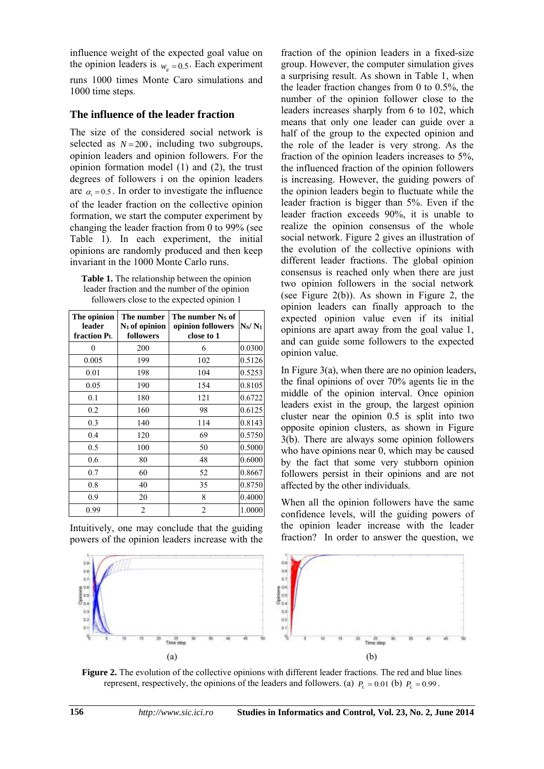influence weight of the expected goal value on the opinion leaders is  $w_g = 0.5$ . Each experiment runs 1000 times Monte Caro simulations and 1000 time steps.

#### **The influence of the leader fraction**

The size of the considered social network is selected as  $N = 200$ , including two subgroups, opinion leaders and opinion followers. For the opinion formation model (1) and (2), the trust degrees of followers i on the opinion leaders are  $\alpha_i = 0.5$ . In order to investigate the influence of the leader fraction on the collective opinion formation, we start the computer experiment by changing the leader fraction from 0 to 99% (see Table 1). In each experiment, the initial opinions are randomly produced and then keep invariant in the 1000 Monte Carlo runs.

**Table 1.** The relationship between the opinion leader fraction and the number of the opinion followers close to the expected opinion 1

| The opinion<br>leader<br>fraction P <sub>L</sub> | The number<br>$N_1$ of opinion<br>followers | The number Ns of<br>opinion followers<br>close to 1 | N <sub>S</sub> /N <sub>1</sub> |
|--------------------------------------------------|---------------------------------------------|-----------------------------------------------------|--------------------------------|
| 0                                                | 200                                         | 6                                                   | 0.0300                         |
| 0.005                                            | 199                                         | 102                                                 | 0.5126                         |
| 0.01                                             | 198                                         | 104                                                 | 0.5253                         |
| 0.05                                             | 190                                         | 154                                                 | 0.8105                         |
| 0.1                                              | 180                                         | 121                                                 | 0.6722                         |
| 0.2                                              | 160                                         | 98                                                  | 0.6125                         |
| 0.3                                              | 140                                         | 114                                                 | 0.8143                         |
| 0.4                                              | 120                                         | 69                                                  | 0.5750                         |
| 0.5                                              | 100                                         | 50                                                  | 0.5000                         |
| 0.6                                              | 80                                          | 48                                                  | 0.6000                         |
| 0.7                                              | 60                                          | 52                                                  | 0.8667                         |
| 0.8                                              | 40                                          | 35                                                  | 0.8750                         |
| 0.9                                              | 20                                          | 8                                                   | 0.4000                         |
| 0.99                                             | $\overline{2}$                              | $\overline{c}$                                      | 1.0000                         |

Intuitively, one may conclude that the guiding powers of the opinion leaders increase with the fraction of the opinion leaders in a fixed-size group. However, the computer simulation gives a surprising result. As shown in Table 1, when the leader fraction changes from 0 to 0.5%, the number of the opinion follower close to the leaders increases sharply from 6 to 102, which means that only one leader can guide over a half of the group to the expected opinion and the role of the leader is very strong. As the fraction of the opinion leaders increases to 5%, the influenced fraction of the opinion followers is increasing. However, the guiding powers of the opinion leaders begin to fluctuate while the leader fraction is bigger than 5%. Even if the leader fraction exceeds 90%, it is unable to realize the opinion consensus of the whole social network. Figure 2 gives an illustration of the evolution of the collective opinions with different leader fractions. The global opinion consensus is reached only when there are just two opinion followers in the social network (see Figure 2(b)). As shown in Figure 2, the opinion leaders can finally approach to the expected opinion value even if its initial opinions are apart away from the goal value 1, and can guide some followers to the expected opinion value.

In Figure 3(a), when there are no opinion leaders, the final opinions of over 70% agents lie in the middle of the opinion interval. Once opinion leaders exist in the group, the largest opinion cluster near the opinion 0.5 is split into two opposite opinion clusters, as shown in Figure 3(b). There are always some opinion followers who have opinions near 0, which may be caused by the fact that some very stubborn opinion followers persist in their opinions and are not affected by the other individuals.

When all the opinion followers have the same confidence levels, will the guiding powers of the opinion leader increase with the leader fraction? In order to answer the question, we



**Figure 2.** The evolution of the collective opinions with different leader fractions. The red and blue lines represent, respectively, the opinions of the leaders and followers. (a)  $P_L = 0.01$  (b)  $P_L = 0.99$ .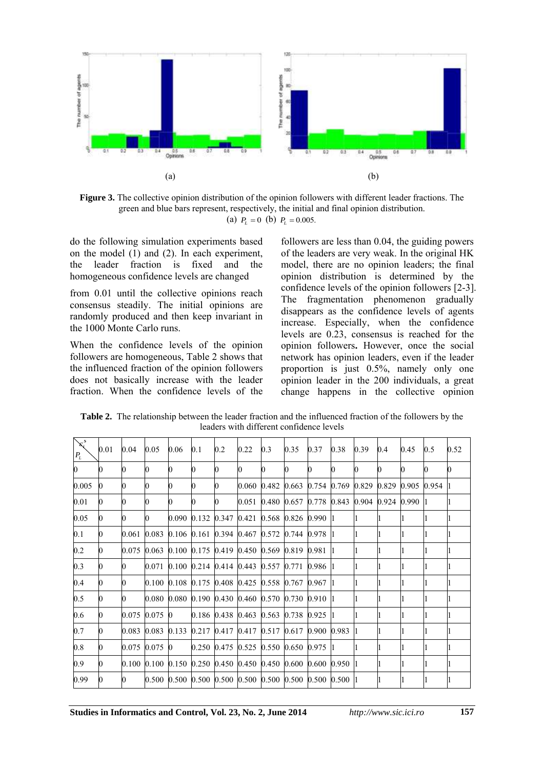

**Figure 3.** The collective opinion distribution of the opinion followers with different leader fractions. The green and blue bars represent, respectively, the initial and final opinion distribution. (a)  $P_L = 0$  (b)  $P_L = 0.005$ .

do the following simulation experiments based on the model (1) and (2). In each experiment, the leader fraction is fixed and the homogeneous confidence levels are changed

from 0.01 until the collective opinions reach consensus steadily. The initial opinions are randomly produced and then keep invariant in the 1000 Monte Carlo runs.

When the confidence levels of the opinion followers are homogeneous, Table 2 shows that the influenced fraction of the opinion followers does not basically increase with the leader fraction. When the confidence levels of the

followers are less than 0.04, the guiding powers of the leaders are very weak. In the original HK model, there are no opinion leaders; the final opinion distribution is determined by the confidence levels of the opinion followers [2-3]. The fragmentation phenomenon gradually disappears as the confidence levels of agents increase. Especially, when the confidence levels are 0.23, consensus is reached for the opinion followers**.** However, once the social network has opinion leaders, even if the leader proportion is just 0.5%, namely only one opinion leader in the 200 individuals, a great change happens in the collective opinion

**Table 2.** The relationship between the leader fraction and the influenced fraction of the followers by the leaders with different confidence levels

| $\sum_{i=1}^{s}$<br>$P_{\scriptscriptstyle L}$ | $0.01\,$ | 0.04  | 0.05            | 0.06         | 0.1 | 0.2 | 0.22                                                                                   | 0.3 | 0.35 | 0.37 | 0.38 | 0.39 | 0.4 | 0.45 | 0.5 | 0.52 |
|------------------------------------------------|----------|-------|-----------------|--------------|-----|-----|----------------------------------------------------------------------------------------|-----|------|------|------|------|-----|------|-----|------|
| $\bf{0}$                                       | 0        |       |                 | 0            |     |     | 0                                                                                      |     |      | 0    | 0    |      |     |      |     |      |
| 0.005                                          | 0        |       | 0               | $\mathbf{0}$ |     | 0   | $[0.060 \; 0.482 \; 0.663 \; 0.754 \; 0.769 \; 0.829 \; 0.829 \; 0.905 \; 0.954 \; 1]$ |     |      |      |      |      |     |      |     |      |
| 0.01                                           | 0        |       |                 | 0            |     |     | $[0.051 \; 0.480 \; 0.657 \; 0.778 \; 0.843 \; 0.904 \; 0.924 \; 0.990 \; 1]$          |     |      |      |      |      |     |      |     |      |
| 0.05                                           | 0        |       | 0               |              |     |     | $0.090$ $0.132$ $0.347$ $0.421$ $0.568$ $0.826$ $0.990$ 1                              |     |      |      |      |      |     |      |     |      |
| 0.1                                            | 0        | 0.061 |                 |              |     |     | $[0.083 \; 0.106 \; 0.161 \; 0.394 \; 0.467 \; 0.572 \; 0.744 \; 0.978 \; 1]$          |     |      |      |      |      |     |      |     |      |
| 0.2                                            | 0        |       |                 |              |     |     | $0.075$ $0.063$ $0.100$ $0.175$ $0.419$ $0.450$ $0.569$ $0.819$ $0.981$  1             |     |      |      |      |      |     |      |     |      |
| 0.3                                            | 0        |       |                 |              |     |     | $[0.071 \; 0.100 \; 0.214 \; 0.414 \; 0.443 \; 0.557 \; 0.771 \; 0.986 \; 1]$          |     |      |      |      |      |     |      |     |      |
| 0.4                                            | 0        |       |                 |              |     |     | $0.100$ $0.108$ $0.175$ $0.408$ $0.425$ $0.558$ $0.767$ $0.967$ 11                     |     |      |      |      |      |     |      |     |      |
| 0.5                                            | 0        |       |                 |              |     |     | $0.080$ $0.080$ $0.190$ $0.430$ $0.460$ $0.570$ $0.730$ $0.910$ 1                      |     |      |      |      |      |     |      |     |      |
| 0.6                                            | 0        | 0.075 | $0.075 \; 0$    |              |     |     | $[0.186 \ \ 0.438 \ \ 0.463 \ \ 0.563 \ \ 0.738 \ \ 0.925 \ \ 1]$                      |     |      |      |      |      |     |      |     |      |
| 0.7                                            | 0        |       |                 |              |     |     | 0.083 0.083 0.133 0.217 0.417 0.417 0.517 0.617 0.900 0.983 1                          |     |      |      |      |      |     |      |     |      |
| 0.8                                            | 0        |       | $0.075$ 0.075 0 |              |     |     | $0.250$ $0.475$ $0.525$ $0.550$ $0.650$ $0.975$  1                                     |     |      |      |      |      |     |      |     |      |
| 0.9                                            | 0        |       |                 |              |     |     | 0.100 0.100 0.150 0.250 0.450 0.450 0.450 0.600 0.600 0.950 1                          |     |      |      |      |      |     |      |     |      |
| 0.99                                           | 0        | 0     |                 |              |     |     | $[0.500 \; 0.500 \; 0.500 \; 0.500 \; 0.500 \; 0.500 \; 0.500 \; 0.500 \; 0.500 \; 1]$ |     |      |      |      |      |     |      |     |      |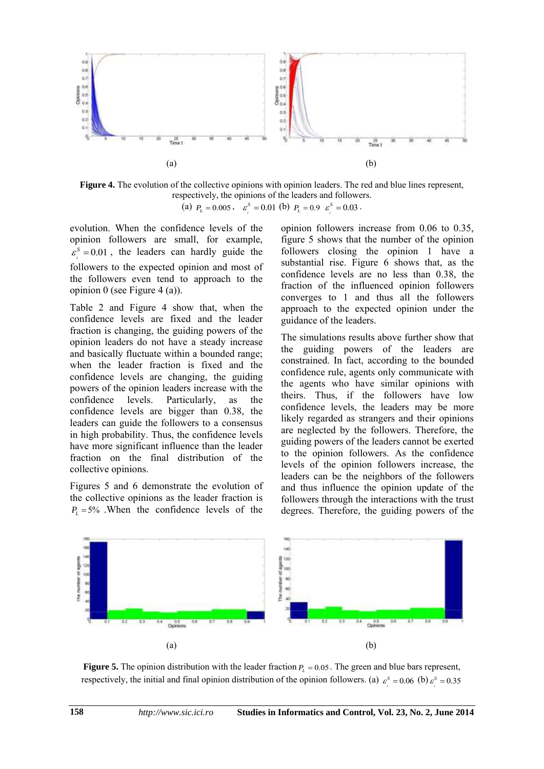

**Figure 4.** The evolution of the collective opinions with opinion leaders. The red and blue lines represent, respectively, the opinions of the leaders and followers. (a)  $P_L = 0.005$ ,  $\varepsilon_i^S = 0.01$  (b)  $P_L = 0.9$   $\varepsilon_i^S = 0.03$ .

evolution. When the confidence levels of the opinion followers are small, for example,  $i<sup>s</sup> = 0.01$  $\varepsilon$ <sup>S</sup> = 0.01, the leaders can hardly guide the followers to the expected opinion and most of the followers even tend to approach to the opinion 0 (see Figure 4 (a)).

Table 2 and Figure 4 show that, when the confidence levels are fixed and the leader fraction is changing, the guiding powers of the opinion leaders do not have a steady increase and basically fluctuate within a bounded range; when the leader fraction is fixed and the confidence levels are changing, the guiding powers of the opinion leaders increase with the confidence levels. Particularly, as the confidence levels are bigger than 0.38, the leaders can guide the followers to a consensus in high probability. Thus, the confidence levels have more significant influence than the leader fraction on the final distribution of the collective opinions.

Figures 5 and 6 demonstrate the evolution of the collective opinions as the leader fraction is  $P_L$  = 5% .When the confidence levels of the opinion followers increase from 0.06 to 0.35, figure 5 shows that the number of the opinion followers closing the opinion 1 have a substantial rise. Figure 6 shows that, as the confidence levels are no less than 0.38, the fraction of the influenced opinion followers converges to 1 and thus all the followers approach to the expected opinion under the guidance of the leaders.

The simulations results above further show that the guiding powers of the leaders are constrained. In fact, according to the bounded confidence rule, agents only communicate with the agents who have similar opinions with theirs. Thus, if the followers have low confidence levels, the leaders may be more likely regarded as strangers and their opinions are neglected by the followers. Therefore, the guiding powers of the leaders cannot be exerted to the opinion followers. As the confidence levels of the opinion followers increase, the leaders can be the neighbors of the followers and thus influence the opinion update of the followers through the interactions with the trust degrees. Therefore, the guiding powers of the



**Figure 5.** The opinion distribution with the leader fraction  $P<sub>L</sub> = 0.05$ . The green and blue bars represent, respectively, the initial and final opinion distribution of the opinion followers. (a)  $\varepsilon_s^s = 0.06$  (b)  $\varepsilon_s^s = 0.35$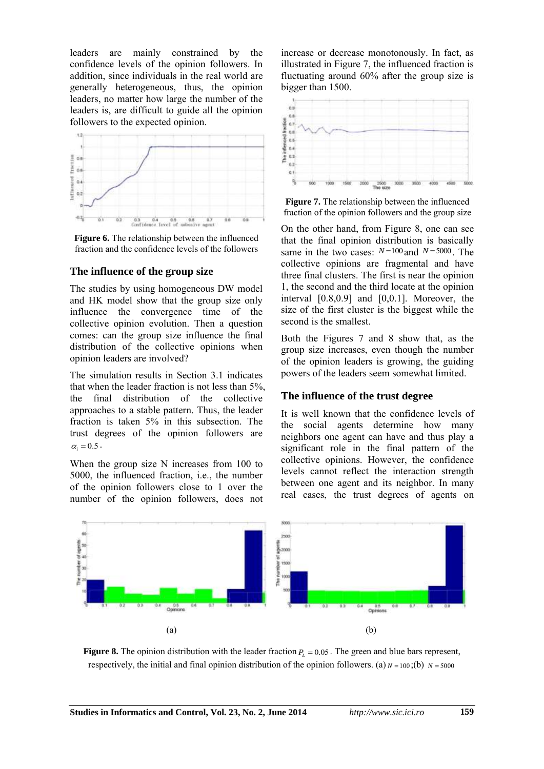leaders are mainly constrained by the confidence levels of the opinion followers. In addition, since individuals in the real world are generally heterogeneous, thus, the opinion leaders, no matter how large the number of the leaders is, are difficult to guide all the opinion followers to the expected opinion.



**Figure 6.** The relationship between the influenced fraction and the confidence levels of the followers

#### **The influence of the group size**

The studies by using homogeneous DW model and HK model show that the group size only influence the convergence time of the collective opinion evolution. Then a question comes: can the group size influence the final distribution of the collective opinions when opinion leaders are involved?

The simulation results in Section 3.1 indicates that when the leader fraction is not less than 5%, the final distribution of the collective approaches to a stable pattern. Thus, the leader fraction is taken 5% in this subsection. The trust degrees of the opinion followers are  $\alpha_i = 0.5$ .

When the group size N increases from 100 to 5000, the influenced fraction, i.e., the number of the opinion followers close to 1 over the number of the opinion followers, does not increase or decrease monotonously. In fact, as illustrated in Figure 7, the influenced fraction is fluctuating around 60% after the group size is bigger than 1500.



**Figure 7.** The relationship between the influenced fraction of the opinion followers and the group size

On the other hand, from Figure 8, one can see that the final opinion distribution is basically same in the two cases:  $N=100$  and  $N=5000$ . The collective opinions are fragmental and have three final clusters. The first is near the opinion 1, the second and the third locate at the opinion interval [0.8,0.9] and [0,0.1]. Moreover, the size of the first cluster is the biggest while the second is the smallest.

Both the Figures 7 and 8 show that, as the group size increases, even though the number of the opinion leaders is growing, the guiding powers of the leaders seem somewhat limited.

#### **The influence of the trust degree**

It is well known that the confidence levels of the social agents determine how many neighbors one agent can have and thus play a significant role in the final pattern of the collective opinions. However, the confidence levels cannot reflect the interaction strength between one agent and its neighbor. In many real cases, the trust degrees of agents on



**Figure 8.** The opinion distribution with the leader fraction  $P<sub>L</sub> = 0.05$ . The green and blue bars represent, respectively, the initial and final opinion distribution of the opinion followers. (a)  $N = 100$ ;(b)  $N = 5000$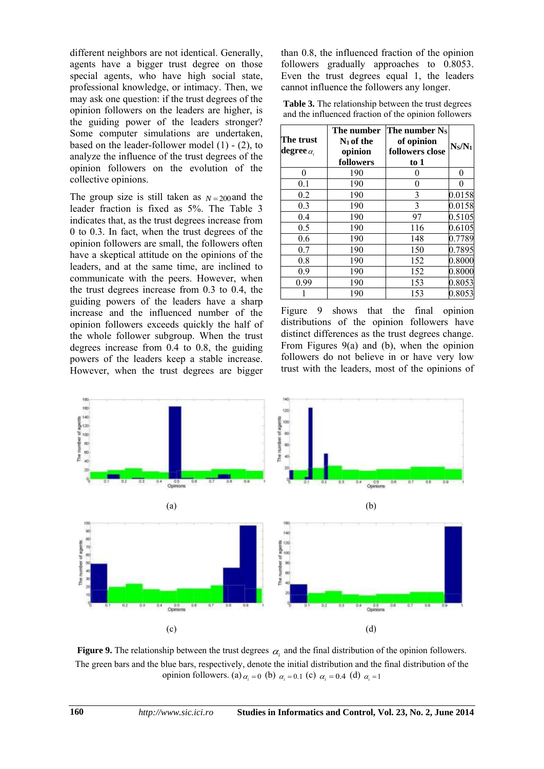different neighbors are not identical. Generally, agents have a bigger trust degree on those special agents, who have high social state, professional knowledge, or intimacy. Then, we may ask one question: if the trust degrees of the opinion followers on the leaders are higher, is the guiding power of the leaders stronger? Some computer simulations are undertaken, based on the leader-follower model (1) - (2), to analyze the influence of the trust degrees of the opinion followers on the evolution of the collective opinions.

The group size is still taken as  $N=200$  and the leader fraction is fixed as 5%. The Table 3 indicates that, as the trust degrees increase from 0 to 0.3. In fact, when the trust degrees of the opinion followers are small, the followers often have a skeptical attitude on the opinions of the leaders, and at the same time, are inclined to communicate with the peers. However, when the trust degrees increase from 0.3 to 0.4, the guiding powers of the leaders have a sharp increase and the influenced number of the opinion followers exceeds quickly the half of the whole follower subgroup. When the trust degrees increase from 0.4 to 0.8, the guiding powers of the leaders keep a stable increase. However, when the trust degrees are bigger

than 0.8, the influenced fraction of the opinion followers gradually approaches to 0.8053. Even the trust degrees equal 1, the leaders cannot influence the followers any longer.

**Table 3.** The relationship between the trust degrees and the influenced fraction of the opinion followers

| The trust<br>degree $\alpha_i$ | The number<br>$N_1$ of the<br>opinion<br>followers | The number Ns<br>of opinion<br>followers close<br>$\frac{1}{2}$ | $N_S/N_1$  |
|--------------------------------|----------------------------------------------------|-----------------------------------------------------------------|------------|
| 0                              | 190                                                | 0                                                               | 0          |
| 0.1                            | 190                                                | 0                                                               | 0          |
| 0.2                            | 190                                                | 3                                                               | 0.0158     |
| 0.3                            | 190                                                | 3                                                               | 0.0158     |
| 0.4                            | 190                                                | 97                                                              | 0.5105     |
| 0.5                            | 190                                                | 116                                                             | 0.6105     |
| 0.6                            | 190                                                | 148                                                             | 0.7789     |
| 0.7                            | 190                                                | 150                                                             | 0.7895     |
| 0.8                            | 190                                                | 152                                                             | ${0.8000}$ |
| 0.9                            | 190                                                | 152                                                             | 0.8000     |
| 0.99                           | 190                                                | 153                                                             | 0.8053     |
|                                | 190                                                | 153                                                             | 0.8053     |

Figure 9 shows that the final opinion distributions of the opinion followers have distinct differences as the trust degrees change. From Figures 9(a) and (b), when the opinion followers do not believe in or have very low trust with the leaders, most of the opinions of



**Figure 9.** The relationship between the trust degrees  $\alpha_i$  and the final distribution of the opinion followers. The green bars and the blue bars, respectively, denote the initial distribution and the final distribution of the opinion followers. (a)  $\alpha_i = 0$  (b)  $\alpha_i = 0.1$  (c)  $\alpha_i = 0.4$  (d)  $\alpha_i = 1$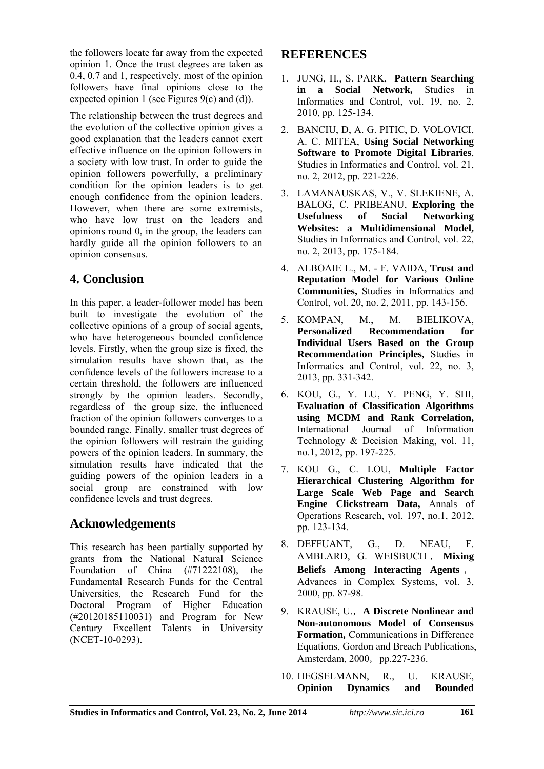the followers locate far away from the expected opinion 1. Once the trust degrees are taken as 0.4, 0.7 and 1, respectively, most of the opinion followers have final opinions close to the expected opinion 1 (see Figures 9(c) and (d)).

The relationship between the trust degrees and the evolution of the collective opinion gives a good explanation that the leaders cannot exert effective influence on the opinion followers in a society with low trust. In order to guide the opinion followers powerfully, a preliminary condition for the opinion leaders is to get enough confidence from the opinion leaders. However, when there are some extremists, who have low trust on the leaders and opinions round 0, in the group, the leaders can hardly guide all the opinion followers to an opinion consensus.

# **4. Conclusion**

In this paper, a leader-follower model has been built to investigate the evolution of the collective opinions of a group of social agents, who have heterogeneous bounded confidence levels. Firstly, when the group size is fixed, the simulation results have shown that, as the confidence levels of the followers increase to a certain threshold, the followers are influenced strongly by the opinion leaders. Secondly, regardless of the group size, the influenced fraction of the opinion followers converges to a bounded range. Finally, smaller trust degrees of the opinion followers will restrain the guiding powers of the opinion leaders. In summary, the simulation results have indicated that the guiding powers of the opinion leaders in a social group are constrained with low confidence levels and trust degrees.

# **Acknowledgements**

This research has been partially supported by grants from the National Natural Science Foundation of China (#71222108), the Fundamental Research Funds for the Central Universities, the Research Fund for the Doctoral Program of Higher Education (#20120185110031) and Program for New Century Excellent Talents in University (NCET-10-0293).

## **REFERENCES**

- 1. JUNG, H., S. PARK, **Pattern Searching in a Social Network,** Studies in Informatics and Control, vol. 19, no. 2, 2010, pp. 125-134.
- 2. BANCIU, D, A. G. PITIC, D. VOLOVICI, A. C. MITEA, **Using Social Networking Software to Promote Digital Libraries**, Studies in Informatics and Control, vol. 21, no. 2, 2012, pp. 221-226.
- 3. LAMANAUSKAS, V., V. SLEKIENE, A. BALOG, C. PRIBEANU, **Exploring the Usefulness of Social Networking Websites: a Multidimensional Model,** Studies in Informatics and Control, vol. 22, no. 2, 2013, pp. 175-184.
- 4. ALBOAIE L., M. F. VAIDA, **Trust and Reputation Model for Various Online Communities,** Studies in Informatics and Control, vol. 20, no. 2, 2011, pp. 143-156.
- 5. KOMPAN, M., M. BIELIKOVA, **Personalized Recommendation for Individual Users Based on the Group Recommendation Principles,** Studies in Informatics and Control, vol. 22, no. 3, 2013, pp. 331-342.
- 6. KOU, G., Y. LU, Y. PENG, Y. SHI, **Evaluation of Classification Algorithms using MCDM and Rank Correlation,** International Journal of Information Technology & Decision Making, vol. 11, no.1, 2012, pp. 197-225.
- 7. KOU G., C. LOU, **Multiple Factor Hierarchical Clustering Algorithm for Large Scale Web Page and Search Engine Clickstream Data,** Annals of Operations Research, vol. 197, no.1, 2012, pp. 123-134.
- 8. DEFFUANT, G., D. NEAU, F. AMBLARD, G. WEISBUCH , **Mixing Beliefs Among Interacting Agents** , Advances in Complex Systems, vol. 3, 2000, pp. 87-98.
- 9. KRAUSE, U.,**A Discrete Nonlinear and Non-autonomous Model of Consensus Formation,** Communications in Difference Equations, Gordon and Breach Publications, Amsterdam, 2000, pp.227-236.
- 10. HEGSELMANN, R., U. KRAUSE, **Opinion Dynamics and Bounded**